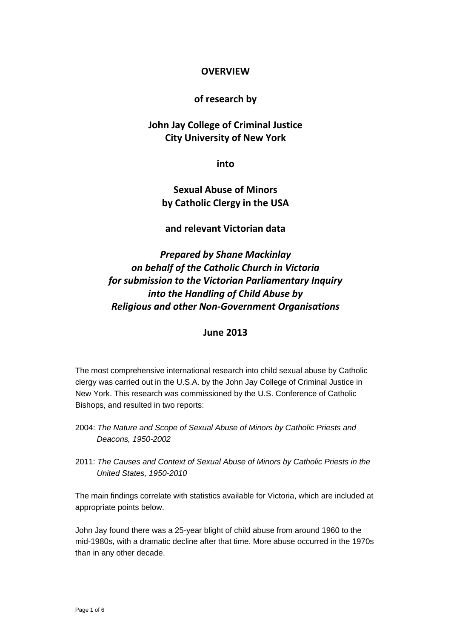# **OVERVIEW**

# **of research by**

# **John Jay College of Criminal Justice City University of New York**

**into**

# **Sexual Abuse of Minors by Catholic Clergy in the USA**

## **and relevant Victorian data**

*Prepared by Shane Mackinlay on behalf of the Catholic Church in Victoria for submission to the Victorian Parliamentary Inquiry into the Handling of Child Abuse by Religious and other Non-Government Organisations*

#### **June 2013**

The most comprehensive international research into child sexual abuse by Catholic clergy was carried out in the U.S.A. by the John Jay College of Criminal Justice in New York. This research was commissioned by the U.S. Conference of Catholic Bishops, and resulted in two reports:

- 2004: *The Nature and Scope of Sexual Abuse of Minors by Catholic Priests and Deacons, 1950-2002*
- 2011: *The Causes and Context of Sexual Abuse of Minors by Catholic Priests in the United States, 1950-2010*

The main findings correlate with statistics available for Victoria, which are included at appropriate points below.

John Jay found there was a 25-year blight of child abuse from around 1960 to the mid-1980s, with a dramatic decline after that time. More abuse occurred in the 1970s than in any other decade.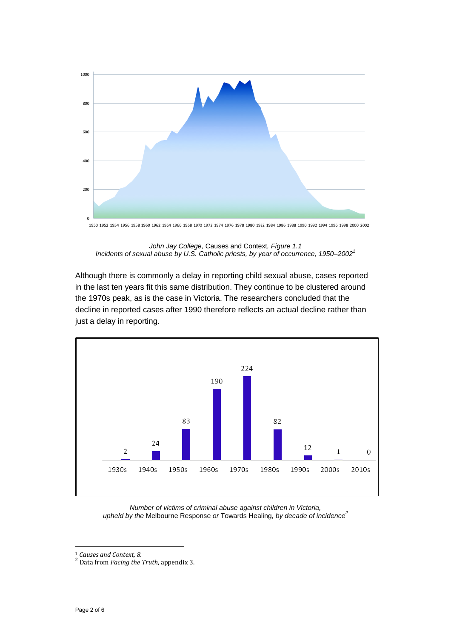

*John Jay College,* Causes and Context*, Figure 1.1 Incidents of sexual abuse by U.S. Catholic priests, by year of occurrence, 1950–2002<sup>1</sup>*

Although there is commonly a delay in reporting child sexual abuse, cases reported in the last ten years fit this same distribution. They continue to be clustered around the 1970s peak, as is the case in Victoria. The researchers concluded that the decline in reported cases after 1990 therefore reflects an actual decline rather than just a delay in reporting.



*Number of victims of criminal abuse against children in Victoria, upheld by the* Melbourne Response *or* Towards Healing*, by decade of incidence<sup>2</sup>*

 $\ddot{\phantom{a}}$ 

<sup>1</sup> *Causes and Context, 8.*

<sup>2</sup> Data from *Facing the Truth*, appendix 3.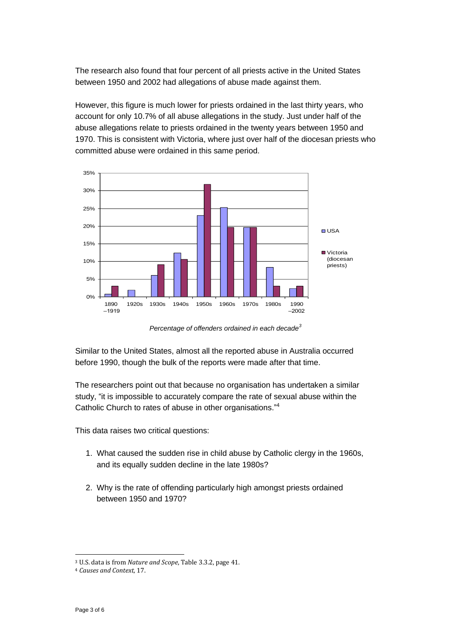The research also found that four percent of all priests active in the United States between 1950 and 2002 had allegations of abuse made against them.

However, this figure is much lower for priests ordained in the last thirty years, who account for only 10.7% of all abuse allegations in the study. Just under half of the abuse allegations relate to priests ordained in the twenty years between 1950 and 1970. This is consistent with Victoria, where just over half of the diocesan priests who committed abuse were ordained in this same period.



*Percentage of offenders ordained in each decade<sup>3</sup>*

Similar to the United States, almost all the reported abuse in Australia occurred before 1990, though the bulk of the reports were made after that time.

The researchers point out that because no organisation has undertaken a similar study, "it is impossible to accurately compare the rate of sexual abuse within the Catholic Church to rates of abuse in other organisations."<sup>4</sup>

This data raises two critical questions:

- 1. What caused the sudden rise in child abuse by Catholic clergy in the 1960s, and its equally sudden decline in the late 1980s?
- 2. Why is the rate of offending particularly high amongst priests ordained between 1950 and 1970?

 $\ddot{\phantom{a}}$ 

<sup>3</sup> U.S. data is from *Nature and Scope*, Table 3.3.2, page 41.

<sup>4</sup> *Causes and Context*, 17.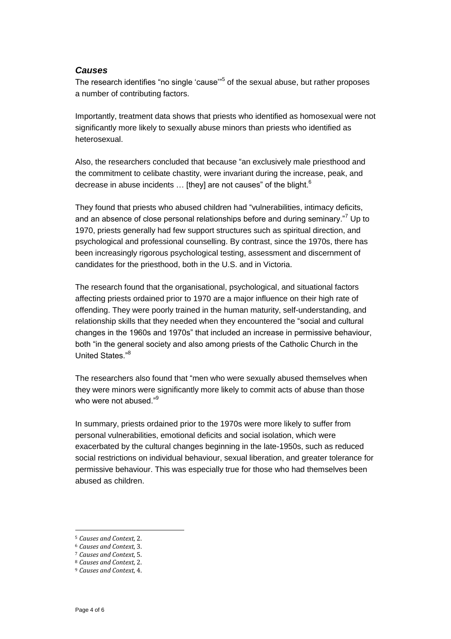#### *Causes*

The research identifies "no single 'cause'<sup>15</sup> of the sexual abuse, but rather proposes a number of contributing factors.

Importantly, treatment data shows that priests who identified as homosexual were not significantly more likely to sexually abuse minors than priests who identified as heterosexual.

Also, the researchers concluded that because "an exclusively male priesthood and the commitment to celibate chastity, were invariant during the increase, peak, and decrease in abuse incidents  $\ldots$  [they] are not causes" of the blight.<sup>6</sup>

They found that priests who abused children had "vulnerabilities, intimacy deficits, and an absence of close personal relationships before and during seminary.<sup>"7</sup> Up to 1970, priests generally had few support structures such as spiritual direction, and psychological and professional counselling. By contrast, since the 1970s, there has been increasingly rigorous psychological testing, assessment and discernment of candidates for the priesthood, both in the U.S. and in Victoria.

The research found that the organisational, psychological, and situational factors affecting priests ordained prior to 1970 are a major influence on their high rate of offending. They were poorly trained in the human maturity, self-understanding, and relationship skills that they needed when they encountered the "social and cultural changes in the 1960s and 1970s" that included an increase in permissive behaviour, both "in the general society and also among priests of the Catholic Church in the United States."<sup>8</sup>

The researchers also found that "men who were sexually abused themselves when they were minors were significantly more likely to commit acts of abuse than those who were not abused."<sup>9</sup>

In summary, priests ordained prior to the 1970s were more likely to suffer from personal vulnerabilities, emotional deficits and social isolation, which were exacerbated by the cultural changes beginning in the late-1950s, such as reduced social restrictions on individual behaviour, sexual liberation, and greater tolerance for permissive behaviour. This was especially true for those who had themselves been abused as children.

 $\overline{a}$ 

<sup>5</sup> *Causes and Context*, 2.

<sup>6</sup> *Causes and Context*, 3.

<sup>7</sup> *Causes and Context*, 5.

<sup>8</sup> *Causes and Context*, 2.

<sup>9</sup> *Causes and Context*, 4.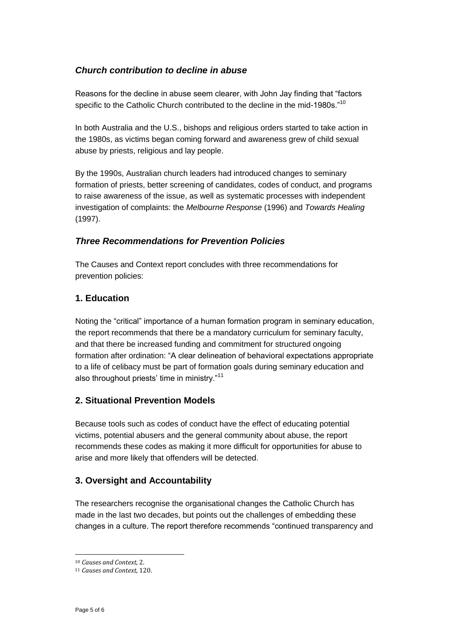# *Church contribution to decline in abuse*

Reasons for the decline in abuse seem clearer, with John Jay finding that "factors specific to the Catholic Church contributed to the decline in the mid-1980s."<sup>10</sup>

In both Australia and the U.S., bishops and religious orders started to take action in the 1980s, as victims began coming forward and awareness grew of child sexual abuse by priests, religious and lay people.

By the 1990s, Australian church leaders had introduced changes to seminary formation of priests, better screening of candidates, codes of conduct, and programs to raise awareness of the issue, as well as systematic processes with independent investigation of complaints: the *Melbourne Response* (1996) and *Towards Healing* (1997).

## *Three Recommendations for Prevention Policies*

The Causes and Context report concludes with three recommendations for prevention policies:

# **1. Education**

Noting the "critical" importance of a human formation program in seminary education, the report recommends that there be a mandatory curriculum for seminary faculty, and that there be increased funding and commitment for structured ongoing formation after ordination: "A clear delineation of behavioral expectations appropriate to a life of celibacy must be part of formation goals during seminary education and also throughout priests' time in ministry."<sup>11</sup>

## **2. Situational Prevention Models**

Because tools such as codes of conduct have the effect of educating potential victims, potential abusers and the general community about abuse, the report recommends these codes as making it more difficult for opportunities for abuse to arise and more likely that offenders will be detected.

## **3. Oversight and Accountability**

The researchers recognise the organisational changes the Catholic Church has made in the last two decades, but points out the challenges of embedding these changes in a culture. The report therefore recommends "continued transparency and

 $\ddot{\phantom{a}}$ <sup>10</sup> *Causes and Context*, 2.

<sup>11</sup> *Causes and Context*, 120.